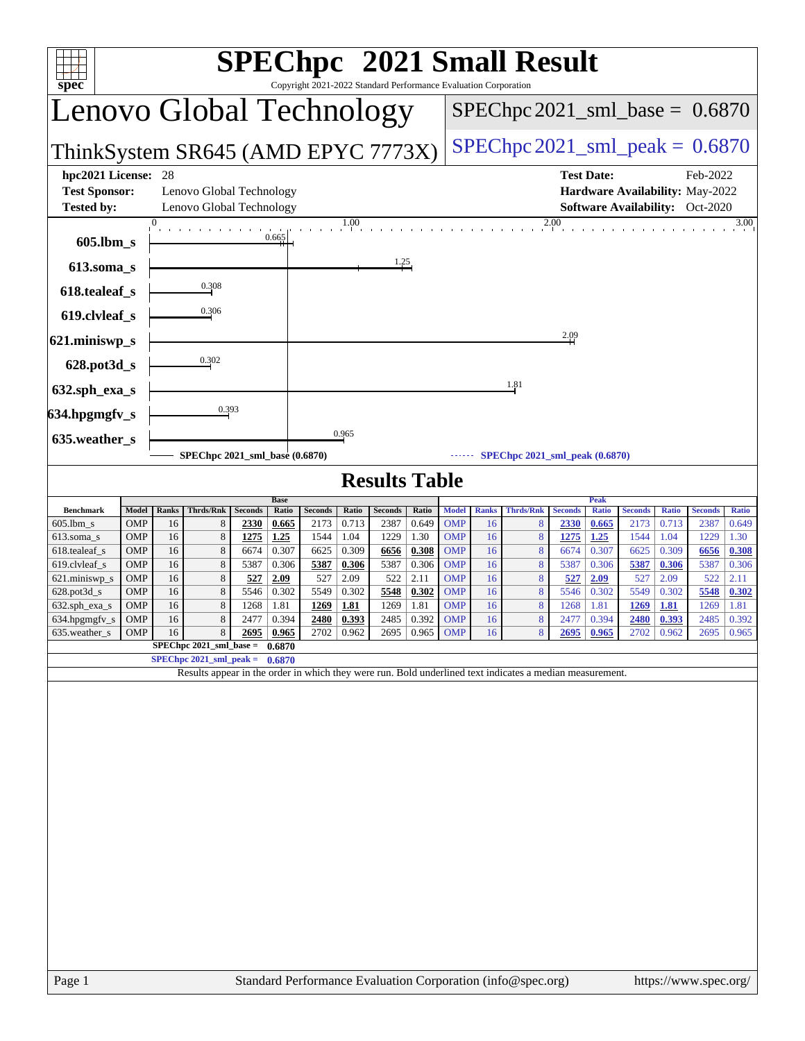| SPEChpc <sup>™</sup> 2021 Small Result<br><b>TI</b><br>spec®<br>Copyright 2021-2022 Standard Performance Evaluation Corporation                 |                                    |             |                                                      |                        |                |                        |                |                      |                |                                     |                    |                                       |                        |                       |                        |                       |                                                                                       |                       |
|-------------------------------------------------------------------------------------------------------------------------------------------------|------------------------------------|-------------|------------------------------------------------------|------------------------|----------------|------------------------|----------------|----------------------|----------------|-------------------------------------|--------------------|---------------------------------------|------------------------|-----------------------|------------------------|-----------------------|---------------------------------------------------------------------------------------|-----------------------|
| Lenovo Global Technology                                                                                                                        |                                    |             |                                                      |                        |                |                        |                |                      |                |                                     |                    | $SPEC$ hpc 2021_sml_base = $0.6870$   |                        |                       |                        |                       |                                                                                       |                       |
|                                                                                                                                                 | ThinkSystem SR645 (AMD EPYC 7773X) |             |                                                      |                        |                |                        |                |                      |                | $SPEC$ hpc 2021_sml_peak = $0.6870$ |                    |                                       |                        |                       |                        |                       |                                                                                       |                       |
| hpc2021 License:<br><b>Test Sponsor:</b><br><b>Tested by:</b>                                                                                   |                                    | 28          | Lenovo Global Technology<br>Lenovo Global Technology |                        |                |                        |                |                      |                |                                     |                    |                                       |                        | <b>Test Date:</b>     |                        |                       | Feb-2022<br>Hardware Availability: May-2022<br><b>Software Availability:</b> Oct-2020 |                       |
| 2.00<br>$\Omega$<br>1.00<br>3.00<br>0.665<br>605.lbm_s                                                                                          |                                    |             |                                                      |                        |                |                        |                |                      |                |                                     |                    |                                       |                        |                       |                        |                       |                                                                                       |                       |
| $613$ .soma_s                                                                                                                                   |                                    |             |                                                      |                        |                |                        |                | 1.25                 |                |                                     |                    |                                       |                        |                       |                        |                       |                                                                                       |                       |
| 618.tealeaf_s                                                                                                                                   |                                    |             | 0.308                                                |                        |                |                        |                |                      |                |                                     |                    |                                       |                        |                       |                        |                       |                                                                                       |                       |
| 619.clvleaf_s                                                                                                                                   |                                    |             | 0.306                                                |                        |                |                        |                |                      |                |                                     |                    |                                       |                        |                       |                        |                       |                                                                                       |                       |
| 621.miniswp_s                                                                                                                                   |                                    |             |                                                      |                        |                |                        |                |                      |                |                                     |                    |                                       | 2.09                   |                       |                        |                       |                                                                                       |                       |
| 628.pot3d_s                                                                                                                                     |                                    |             | 0.302                                                |                        |                |                        |                |                      |                |                                     |                    |                                       |                        |                       |                        |                       |                                                                                       |                       |
| 632.sph_exa_s                                                                                                                                   |                                    |             |                                                      |                        |                |                        |                |                      |                |                                     |                    | 1.81                                  |                        |                       |                        |                       |                                                                                       |                       |
| 634.hpgmgfv_s                                                                                                                                   |                                    |             | 0.393                                                |                        |                |                        |                |                      |                |                                     |                    |                                       |                        |                       |                        |                       |                                                                                       |                       |
| 635.weather_s                                                                                                                                   |                                    |             |                                                      |                        |                |                        | 0.965          |                      |                |                                     |                    |                                       |                        |                       |                        |                       |                                                                                       |                       |
|                                                                                                                                                 |                                    |             | SPEChpc 2021_sml_base (0.6870)                       |                        |                |                        |                |                      |                |                                     |                    | <b>SPEChpc 2021_sml_peak (0.6870)</b> |                        |                       |                        |                       |                                                                                       |                       |
|                                                                                                                                                 |                                    |             |                                                      |                        | <b>Base</b>    |                        |                | <b>Results Table</b> |                |                                     |                    |                                       |                        | Peak                  |                        |                       |                                                                                       |                       |
| <b>Benchmark</b><br>$605$ .lbm_s                                                                                                                | Model<br>OMP                       | Ranks<br>16 | <b>Thrds/Rnk</b><br>8                                | <b>Seconds</b><br>2330 | Ratio<br>0.665 | <b>Seconds</b><br>2173 | Ratio<br>0.713 | Seconds<br>2387      | Ratio<br>0.649 | <b>Model</b><br><b>OMP</b>          | <b>Ranks</b><br>16 | <b>Thrds/Rnk</b><br>8                 | <b>Seconds</b><br>2330 | <b>Ratio</b><br>0.665 | <b>Seconds</b><br>2173 | <b>Ratio</b><br>0.713 | <b>Seconds</b><br>2387                                                                | <b>Ratio</b><br>0.649 |
| 613.soma_s<br>618.tealeaf_s                                                                                                                     | OMP<br>OMP                         | 16<br>16    | $\,$ 8 $\,$<br>8                                     | 1275<br>6674           | 1.25<br>0.307  | 1544<br>6625           | 1.04<br>0.309  | 1229<br>6656         | 1.30<br>0.308  | <b>OMP</b><br><b>OMP</b>            | 16<br>16           | 8<br>8                                | 1275<br>6674           | <u>1.25</u><br>0.307  | 1544<br>6625           | 1.04<br>0.309         | 1229<br>6656                                                                          | 1.30<br>0.308         |
| 619.clvleaf_s                                                                                                                                   | OMP                                | 16          | $\,$ 8 $\,$                                          | 5387                   | 0.306          | 5387                   | 0.306          | 5387                 | 0.306          | <b>OMP</b>                          | 16                 | $\boldsymbol{8}$                      | 5387                   | 0.306                 | 5387                   | 0.306                 | 5387                                                                                  | 0.306                 |
| 621.miniswp_s<br>$628.$ pot $3d$ <sub>-</sub> s                                                                                                 | <b>OMP</b><br>OMP                  | 16<br>16    | $\,$ 8 $\,$<br>8                                     | 527<br>5546            | 2.09<br>0.302  | 527<br>5549            | 2.09<br>0.302  | 522<br>5548          | 2.11<br>0.302  | <b>OMP</b><br><b>OMP</b>            | 16<br>16           | 8<br>8                                | 527<br>5546            | 2.09<br>0.302         | 527<br>5549            | 2.09<br>0.302         | 522<br>5548                                                                           | 2.11<br>0.302         |
| 632.sph_exa_s                                                                                                                                   | OMP                                | 16          | 8<br>8                                               | 1268                   | 1.81           | 1269                   | 1.81           | 1269                 | 1.81           | <b>OMP</b>                          | 16                 | 8<br>8                                | 1268                   | 1.81                  | 1269                   | 1.81                  | 1269                                                                                  | 1.81                  |
| 634.hpgmgfv_s<br>635.weather_s OMP                                                                                                              | <b>OMP</b>                         | 16          | 16 8 2695 0.965 2702 0.962 2695 0.965 OMP            | 2477                   | 0.394          | 2480                   | 0.393          | 2485                 | 0.392          | <b>OMP</b>                          | 16<br>16           | 8 <sup>1</sup>                        | 2477                   | 0.394<br>$2695$ 0.965 | <b>2480</b>            | 0.393<br>2702   0.962 | 2485                                                                                  | 0.392<br>2695 0.965   |
|                                                                                                                                                 |                                    |             | SPEChpc $2021$ _sml_base = $0.6870$                  |                        |                |                        |                |                      |                |                                     |                    |                                       |                        |                       |                        |                       |                                                                                       |                       |
| SPEChpc $2021$ _sml_peak = $0.6870$<br>Results appear in the order in which they were run. Bold underlined text indicates a median measurement. |                                    |             |                                                      |                        |                |                        |                |                      |                |                                     |                    |                                       |                        |                       |                        |                       |                                                                                       |                       |
| Standard Performance Evaluation Corporation (info@spec.org)<br>https://www.spec.org/<br>Page 1                                                  |                                    |             |                                                      |                        |                |                        |                |                      |                |                                     |                    |                                       |                        |                       |                        |                       |                                                                                       |                       |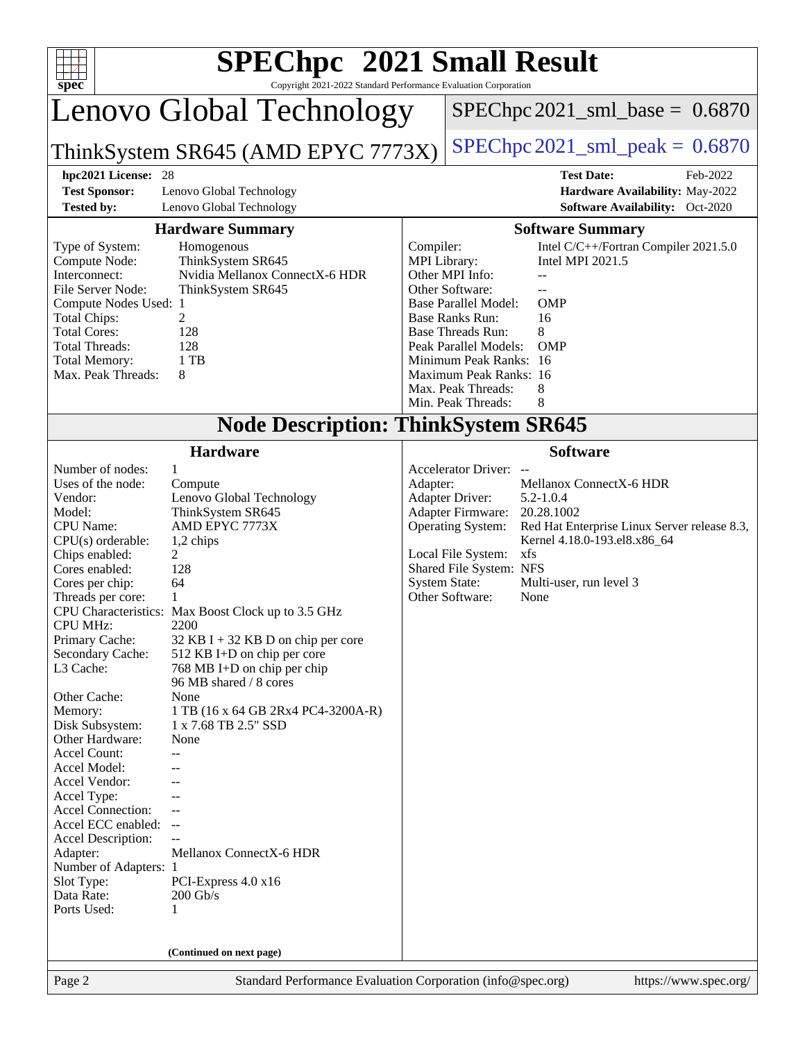| $spec^*$                                                                                                                                                                                                                                                                                                                                                                                                                                                                                                                                                                      | <b>SPEChpc<sup>™</sup> 2021 Small Result</b><br>Copyright 2021-2022 Standard Performance Evaluation Corporation                                                                                                                                                                                                                                                                                                                                                                                                                                              |                                                                                                                                                                                                                                                                                                                                                                                                              |                                                                                                                                                                                                                                                                                                                                                                                                          |  |  |  |
|-------------------------------------------------------------------------------------------------------------------------------------------------------------------------------------------------------------------------------------------------------------------------------------------------------------------------------------------------------------------------------------------------------------------------------------------------------------------------------------------------------------------------------------------------------------------------------|--------------------------------------------------------------------------------------------------------------------------------------------------------------------------------------------------------------------------------------------------------------------------------------------------------------------------------------------------------------------------------------------------------------------------------------------------------------------------------------------------------------------------------------------------------------|--------------------------------------------------------------------------------------------------------------------------------------------------------------------------------------------------------------------------------------------------------------------------------------------------------------------------------------------------------------------------------------------------------------|----------------------------------------------------------------------------------------------------------------------------------------------------------------------------------------------------------------------------------------------------------------------------------------------------------------------------------------------------------------------------------------------------------|--|--|--|
|                                                                                                                                                                                                                                                                                                                                                                                                                                                                                                                                                                               | Lenovo Global Technology                                                                                                                                                                                                                                                                                                                                                                                                                                                                                                                                     |                                                                                                                                                                                                                                                                                                                                                                                                              | $SPEC$ hpc 2021_sml_base = $0.6870$                                                                                                                                                                                                                                                                                                                                                                      |  |  |  |
|                                                                                                                                                                                                                                                                                                                                                                                                                                                                                                                                                                               | ThinkSystem SR645 (AMD EPYC 7773X)                                                                                                                                                                                                                                                                                                                                                                                                                                                                                                                           |                                                                                                                                                                                                                                                                                                                                                                                                              | $SPEC$ hpc 2021_sml_peak = $0.6870$                                                                                                                                                                                                                                                                                                                                                                      |  |  |  |
| hpc2021 License: 28                                                                                                                                                                                                                                                                                                                                                                                                                                                                                                                                                           |                                                                                                                                                                                                                                                                                                                                                                                                                                                                                                                                                              |                                                                                                                                                                                                                                                                                                                                                                                                              | <b>Test Date:</b><br>Feb-2022                                                                                                                                                                                                                                                                                                                                                                            |  |  |  |
| <b>Test Sponsor:</b><br><b>Tested by:</b>                                                                                                                                                                                                                                                                                                                                                                                                                                                                                                                                     | Lenovo Global Technology<br>Lenovo Global Technology                                                                                                                                                                                                                                                                                                                                                                                                                                                                                                         |                                                                                                                                                                                                                                                                                                                                                                                                              | Hardware Availability: May-2022<br><b>Software Availability:</b> Oct-2020                                                                                                                                                                                                                                                                                                                                |  |  |  |
|                                                                                                                                                                                                                                                                                                                                                                                                                                                                                                                                                                               | <b>Hardware Summary</b>                                                                                                                                                                                                                                                                                                                                                                                                                                                                                                                                      |                                                                                                                                                                                                                                                                                                                                                                                                              | <b>Software Summary</b>                                                                                                                                                                                                                                                                                                                                                                                  |  |  |  |
| Type of System:<br>Compute Node:<br>Interconnect:<br>File Server Node:<br>Compute Nodes Used: 1<br><b>Total Chips:</b><br><b>Total Cores:</b><br><b>Total Threads:</b><br><b>Total Memory:</b><br>Max. Peak Threads:                                                                                                                                                                                                                                                                                                                                                          | Homogenous<br>ThinkSystem SR645<br>Nvidia Mellanox ConnectX-6 HDR<br>ThinkSystem SR645<br>2<br>128<br>128<br>1 TB<br>8                                                                                                                                                                                                                                                                                                                                                                                                                                       | Intel C/C++/Fortran Compiler 2021.5.0<br>Compiler:<br>Intel MPI 2021.5<br><b>MPI</b> Library:<br>Other MPI Info:<br>Other Software:<br>$\sim$<br><b>OMP</b><br><b>Base Parallel Model:</b><br><b>Base Ranks Run:</b><br>16<br><b>Base Threads Run:</b><br>8<br>Peak Parallel Models:<br><b>OMP</b><br>Minimum Peak Ranks: 16<br>Maximum Peak Ranks: 16<br>Max. Peak Threads:<br>8<br>8<br>Min. Peak Threads: |                                                                                                                                                                                                                                                                                                                                                                                                          |  |  |  |
|                                                                                                                                                                                                                                                                                                                                                                                                                                                                                                                                                                               | <b>Node Description: ThinkSystem SR645</b>                                                                                                                                                                                                                                                                                                                                                                                                                                                                                                                   |                                                                                                                                                                                                                                                                                                                                                                                                              |                                                                                                                                                                                                                                                                                                                                                                                                          |  |  |  |
| Number of nodes:<br>Uses of the node:<br>Vendor:<br>Model:<br><b>CPU</b> Name:<br>CPU(s) orderable:<br>Chips enabled:<br>Cores enabled:<br>Cores per chip:<br>Threads per core:<br><b>CPU</b> Characteristics:<br><b>CPU MHz:</b><br>Primary Cache:<br>Secondary Cache:<br>L3 Cache:<br>Other Cache:<br>Memory:<br>Disk Subsystem:<br>Other Hardware:<br>Accel Count:<br>Accel Model:<br>Accel Vendor:<br>Accel Type:<br><b>Accel Connection:</b><br>Accel ECC enabled:<br>Accel Description:<br>Adapter:<br>Number of Adapters: 1<br>Slot Type:<br>Data Rate:<br>Ports Used: | <b>Hardware</b><br>$\mathbf{1}$<br>Compute<br>Lenovo Global Technology<br>ThinkSystem SR645<br>AMD EPYC 7773X<br>1,2 chips<br>2<br>128<br>64<br>1<br>Max Boost Clock up to 3.5 GHz<br>2200<br>$32$ KB I + 32 KB D on chip per core<br>512 KB I+D on chip per core<br>768 MB I+D on chip per chip<br>96 MB shared / 8 cores<br>None<br>1 TB (16 x 64 GB 2Rx4 PC4-3200A-R)<br>1 x 7.68 TB 2.5" SSD<br>None<br>$- -$<br>--<br>$\overline{\phantom{a}}$<br>Mellanox ConnectX-6 HDR<br>PCI-Express $4.0 \times 16$<br>$200$ Gb/s<br>1<br>(Continued on next page) | Adapter:                                                                                                                                                                                                                                                                                                                                                                                                     | <b>Software</b><br><b>Accelerator Driver:</b><br>Mellanox ConnectX-6 HDR<br><b>Adapter Driver:</b><br>$5.2 - 1.0.4$<br>Adapter Firmware:<br>20.28.1002<br><b>Operating System:</b><br>Red Hat Enterprise Linux Server release 8.3,<br>Kernel 4.18.0-193.el8.x86_64<br>Local File System:<br>xfs<br>Shared File System: NFS<br><b>System State:</b><br>Multi-user, run level 3<br>Other Software:<br>None |  |  |  |
| Page 2                                                                                                                                                                                                                                                                                                                                                                                                                                                                                                                                                                        | Standard Performance Evaluation Corporation (info@spec.org)                                                                                                                                                                                                                                                                                                                                                                                                                                                                                                  |                                                                                                                                                                                                                                                                                                                                                                                                              | https://www.spec.org/                                                                                                                                                                                                                                                                                                                                                                                    |  |  |  |
|                                                                                                                                                                                                                                                                                                                                                                                                                                                                                                                                                                               |                                                                                                                                                                                                                                                                                                                                                                                                                                                                                                                                                              |                                                                                                                                                                                                                                                                                                                                                                                                              |                                                                                                                                                                                                                                                                                                                                                                                                          |  |  |  |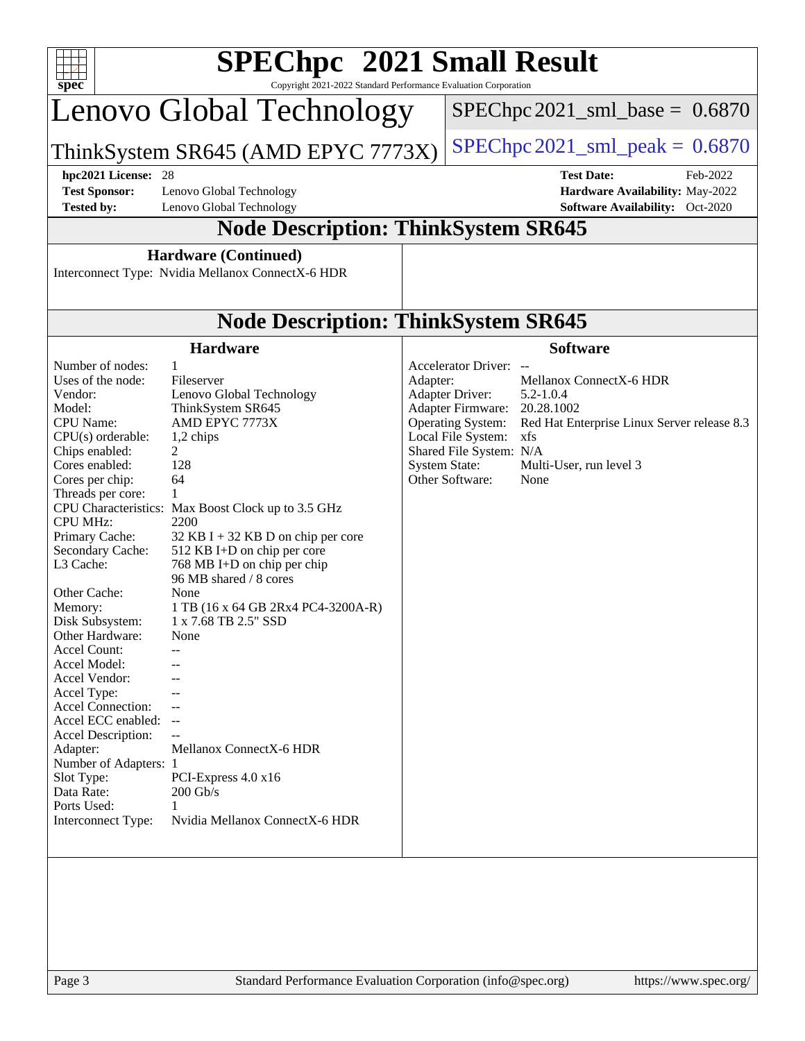| SPEChpc <sup>™</sup> 2021 Small Result<br>$spec^*$<br>Copyright 2021-2022 Standard Performance Evaluation Corporation                                                                                                                                                                                                                                                                                                                                                                                                                                                   |                                                                                                                                                                                                                                                                                                                                                                                                                                                                                                                            |          |                                                                                                                                                                                                                                                                                                                                           |  |  |  |  |
|-------------------------------------------------------------------------------------------------------------------------------------------------------------------------------------------------------------------------------------------------------------------------------------------------------------------------------------------------------------------------------------------------------------------------------------------------------------------------------------------------------------------------------------------------------------------------|----------------------------------------------------------------------------------------------------------------------------------------------------------------------------------------------------------------------------------------------------------------------------------------------------------------------------------------------------------------------------------------------------------------------------------------------------------------------------------------------------------------------------|----------|-------------------------------------------------------------------------------------------------------------------------------------------------------------------------------------------------------------------------------------------------------------------------------------------------------------------------------------------|--|--|--|--|
|                                                                                                                                                                                                                                                                                                                                                                                                                                                                                                                                                                         | Lenovo Global Technology                                                                                                                                                                                                                                                                                                                                                                                                                                                                                                   |          | $SPEC$ hpc 2021_sml_base = $0.6870$                                                                                                                                                                                                                                                                                                       |  |  |  |  |
|                                                                                                                                                                                                                                                                                                                                                                                                                                                                                                                                                                         | ThinkSystem SR645 (AMD EPYC 7773X)                                                                                                                                                                                                                                                                                                                                                                                                                                                                                         |          | $SPEC$ hpc 2021_sml_peak = $0.6870$                                                                                                                                                                                                                                                                                                       |  |  |  |  |
| hpc2021 License: 28<br><b>Test Sponsor:</b><br><b>Tested by:</b>                                                                                                                                                                                                                                                                                                                                                                                                                                                                                                        | Lenovo Global Technology<br>Lenovo Global Technology                                                                                                                                                                                                                                                                                                                                                                                                                                                                       |          | <b>Test Date:</b><br>Feb-2022<br>Hardware Availability: May-2022<br><b>Software Availability:</b> Oct-2020                                                                                                                                                                                                                                |  |  |  |  |
|                                                                                                                                                                                                                                                                                                                                                                                                                                                                                                                                                                         | <b>Node Description: ThinkSystem SR645</b>                                                                                                                                                                                                                                                                                                                                                                                                                                                                                 |          |                                                                                                                                                                                                                                                                                                                                           |  |  |  |  |
|                                                                                                                                                                                                                                                                                                                                                                                                                                                                                                                                                                         | <b>Hardware (Continued)</b><br>Interconnect Type: Nvidia Mellanox ConnectX-6 HDR                                                                                                                                                                                                                                                                                                                                                                                                                                           |          |                                                                                                                                                                                                                                                                                                                                           |  |  |  |  |
|                                                                                                                                                                                                                                                                                                                                                                                                                                                                                                                                                                         | <b>Node Description: ThinkSystem SR645</b>                                                                                                                                                                                                                                                                                                                                                                                                                                                                                 |          |                                                                                                                                                                                                                                                                                                                                           |  |  |  |  |
|                                                                                                                                                                                                                                                                                                                                                                                                                                                                                                                                                                         | <b>Hardware</b>                                                                                                                                                                                                                                                                                                                                                                                                                                                                                                            |          | <b>Software</b>                                                                                                                                                                                                                                                                                                                           |  |  |  |  |
| Number of nodes:<br>Uses of the node:<br>Vendor:<br>Model:<br><b>CPU</b> Name:<br>CPU(s) orderable:<br>Chips enabled:<br>Cores enabled:<br>Cores per chip:<br>Threads per core:<br><b>CPU MHz:</b><br>Primary Cache:<br>Secondary Cache:<br>L3 Cache:<br>Other Cache:<br>Memory:<br>Disk Subsystem:<br>Other Hardware:<br><b>Accel Count:</b><br>Accel Model:<br>Accel Vendor:<br>Accel Type:<br>Accel Connection:<br>Accel ECC enabled: --<br>Accel Description:<br>Adapter:<br>Number of Adapters: 1<br>Slot Type:<br>Data Rate:<br>Ports Used:<br>Interconnect Type: | $\mathbf{1}$<br>Fileserver<br>Lenovo Global Technology<br>ThinkSystem SR645<br>AMD EPYC 7773X<br>1,2 chips<br>2<br>128<br>64<br>1<br>CPU Characteristics: Max Boost Clock up to 3.5 GHz<br>2200<br>32 KB I + 32 KB D on chip per core<br>512 KB I+D on chip per core<br>768 MB I+D on chip per chip<br>96 MB shared / 8 cores<br>None<br>1 TB (16 x 64 GB 2Rx4 PC4-3200A-R)<br>1 x 7.68 TB 2.5" SSD<br>None<br>Mellanox ConnectX-6 HDR<br>PCI-Express $4.0 \times 16$<br>$200$ Gb/s<br>1<br>Nvidia Mellanox ConnectX-6 HDR | Adapter: | Accelerator Driver: --<br>Mellanox ConnectX-6 HDR<br>Adapter Driver:<br>$5.2 - 1.0.4$<br>Adapter Firmware:<br>20.28.1002<br><b>Operating System:</b><br>Red Hat Enterprise Linux Server release 8.3<br>Local File System:<br>xfs<br>Shared File System: N/A<br><b>System State:</b><br>Multi-User, run level 3<br>Other Software:<br>None |  |  |  |  |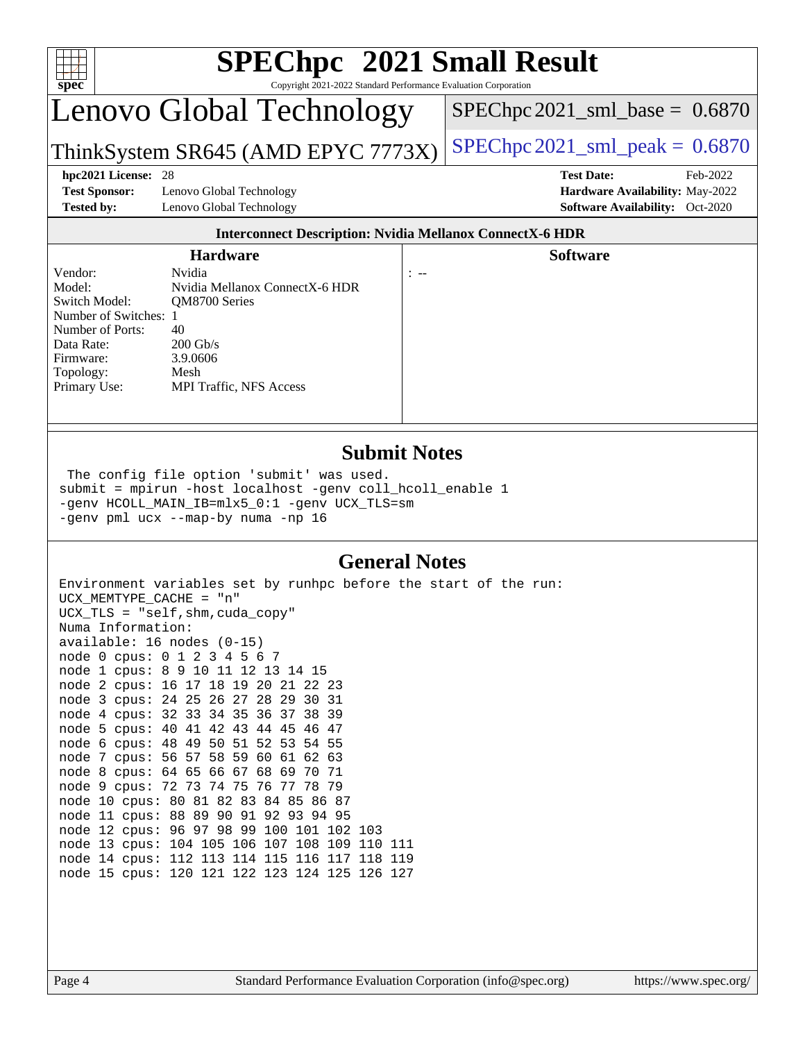

#### **[Submit Notes](http://www.spec.org/auto/hpc2021/Docs/result-fields.html#SubmitNotes)**

 The config file option 'submit' was used. submit = mpirun -host localhost -genv coll\_hcoll\_enable 1 -genv HCOLL\_MAIN\_IB=mlx5\_0:1 -genv UCX\_TLS=sm -genv pml ucx --map-by numa -np 16

#### **[General Notes](http://www.spec.org/auto/hpc2021/Docs/result-fields.html#GeneralNotes)**

Environment variables set by runhpc before the start of the run: UCX\_MEMTYPE\_CACHE = "n" UCX\_TLS = "self,shm,cuda\_copy" Numa Information: available: 16 nodes (0-15) node 0 cpus: 0 1 2 3 4 5 6 7 node 1 cpus: 8 9 10 11 12 13 14 15 node 2 cpus: 16 17 18 19 20 21 22 23 node 3 cpus: 24 25 26 27 28 29 30 31 node 4 cpus: 32 33 34 35 36 37 38 39 node 5 cpus: 40 41 42 43 44 45 46 47 node 6 cpus: 48 49 50 51 52 53 54 55 node 7 cpus: 56 57 58 59 60 61 62 63 node 8 cpus: 64 65 66 67 68 69 70 71 node 9 cpus: 72 73 74 75 76 77 78 79 node 10 cpus: 80 81 82 83 84 85 86 87 node 11 cpus: 88 89 90 91 92 93 94 95 node 12 cpus: 96 97 98 99 100 101 102 103 node 13 cpus: 104 105 106 107 108 109 110 111 node 14 cpus: 112 113 114 115 116 117 118 119 node 15 cpus: 120 121 122 123 124 125 126 127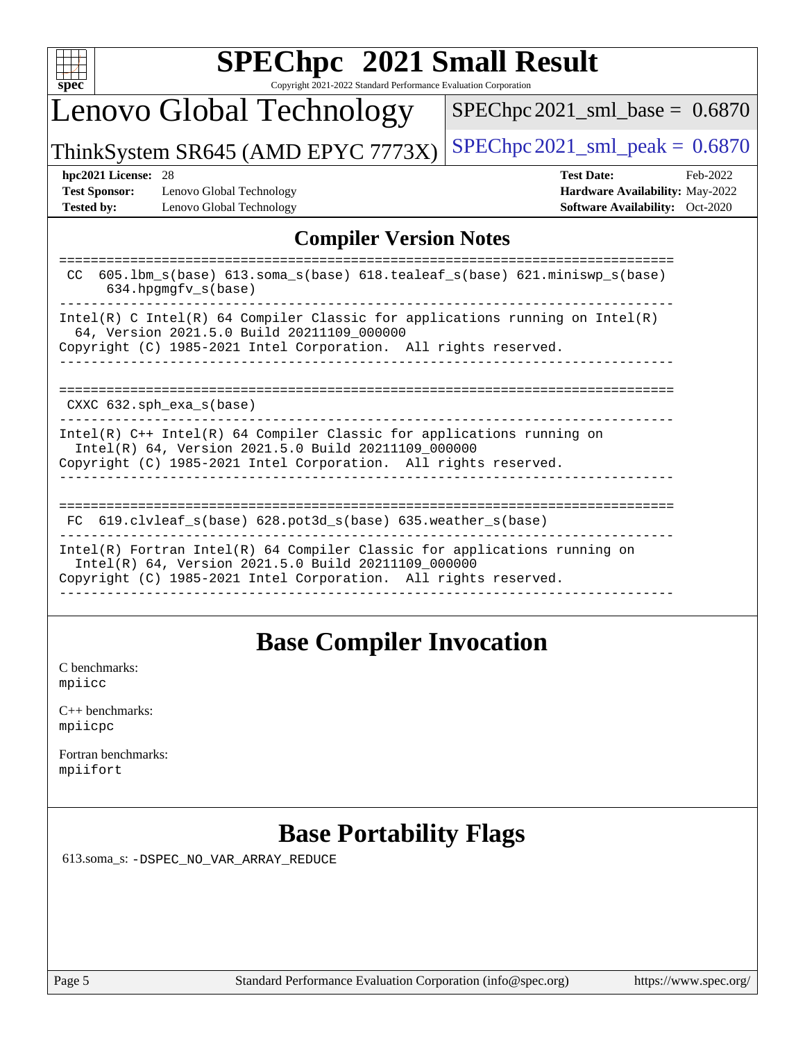

# **[SPEChpc](http://www.spec.org/auto/hpc2021/Docs/result-fields.html#SPEChpc2021SmallResult) [2021 Small Result](http://www.spec.org/auto/hpc2021/Docs/result-fields.html#SPEChpc2021SmallResult)**

Copyright 2021-2022 Standard Performance Evaluation Corporation

# Lenovo Global Technology

[SPEChpc2021\\_sml\\_base =](http://www.spec.org/auto/hpc2021/Docs/result-fields.html#SPEChpc2021smlbase) 0.6870

ThinkSystem SR645 (AMD EPYC 7773X) SPEChpc  $2021$ \_sml\_peak = 0.6870

**[Test Sponsor:](http://www.spec.org/auto/hpc2021/Docs/result-fields.html#TestSponsor)** Lenovo Global Technology **[Hardware Availability:](http://www.spec.org/auto/hpc2021/Docs/result-fields.html#HardwareAvailability)** May-2022 **[Tested by:](http://www.spec.org/auto/hpc2021/Docs/result-fields.html#Testedby)** Lenovo Global Technology **[Software Availability:](http://www.spec.org/auto/hpc2021/Docs/result-fields.html#SoftwareAvailability)** Oct-2020

**[hpc2021 License:](http://www.spec.org/auto/hpc2021/Docs/result-fields.html#hpc2021License)** 28 **[Test Date:](http://www.spec.org/auto/hpc2021/Docs/result-fields.html#TestDate)** Feb-2022

#### **[Compiler Version Notes](http://www.spec.org/auto/hpc2021/Docs/result-fields.html#CompilerVersionNotes)**

| 605.1bm $s(base)$ 613.soma $s(base)$ 618.tealeaf $s(base)$ 621.miniswp $s(base)$<br>CC.<br>$634.$ hpqmqfv $s(base)$                                                                                   |
|-------------------------------------------------------------------------------------------------------------------------------------------------------------------------------------------------------|
| Intel(R) C Intel(R) 64 Compiler Classic for applications running on Intel(R)<br>64, Version 2021.5.0 Build 20211109 000000<br>Copyright (C) 1985-2021 Intel Corporation. All rights reserved.         |
| $CXXC$ 632.sph_exa_s(base)                                                                                                                                                                            |
| Intel(R) $C++$ Intel(R) 64 Compiler Classic for applications running on<br>Intel(R) 64, Version 2021.5.0 Build 20211109_000000<br>Copyright (C) 1985-2021 Intel Corporation. All rights reserved.     |
| 619.clvleaf s(base) 628.pot3d s(base) 635.weather s(base)<br>FC.                                                                                                                                      |
| Intel(R) Fortran Intel(R) $64$ Compiler Classic for applications running on<br>Intel(R) 64, Version 2021.5.0 Build 20211109 000000<br>Copyright (C) 1985-2021 Intel Corporation. All rights reserved. |
|                                                                                                                                                                                                       |

### **[Base Compiler Invocation](http://www.spec.org/auto/hpc2021/Docs/result-fields.html#BaseCompilerInvocation)**

[C benchmarks](http://www.spec.org/auto/hpc2021/Docs/result-fields.html#Cbenchmarks): [mpiicc](https://www.spec.org/hpc2021/results/res2022q1/hpc2021-20220221-00080.flags.html#user_CCbase_mpiicc)

| $C_{++}$ benchmarks: |
|----------------------|
| mpiicpc              |

[Fortran benchmarks](http://www.spec.org/auto/hpc2021/Docs/result-fields.html#Fortranbenchmarks): [mpiifort](https://www.spec.org/hpc2021/results/res2022q1/hpc2021-20220221-00080.flags.html#user_FCbase_mpiifort)

## **[Base Portability Flags](http://www.spec.org/auto/hpc2021/Docs/result-fields.html#BasePortabilityFlags)**

613.soma\_s: [-DSPEC\\_NO\\_VAR\\_ARRAY\\_REDUCE](https://www.spec.org/hpc2021/results/res2022q1/hpc2021-20220221-00080.flags.html#b613.soma_s_basePORTABILITY_DSPEC_NO_VAR_ARRAY_REDUCE)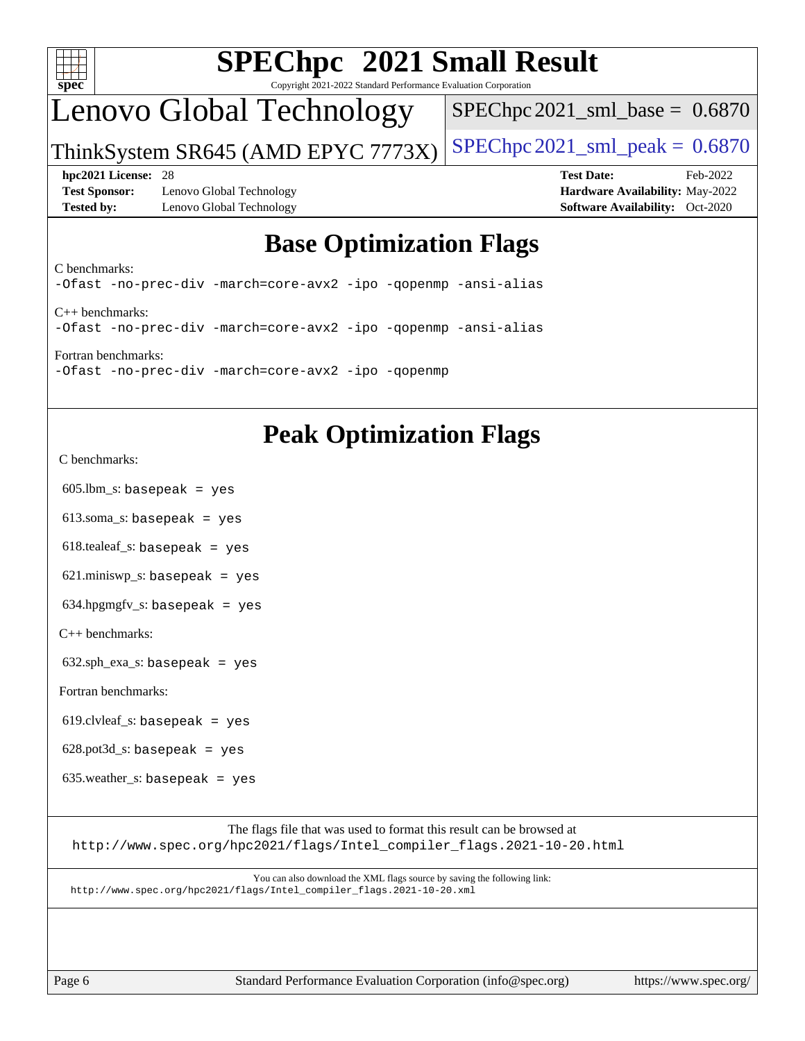

# **[SPEChpc](http://www.spec.org/auto/hpc2021/Docs/result-fields.html#SPEChpc2021SmallResult) [2021 Small Result](http://www.spec.org/auto/hpc2021/Docs/result-fields.html#SPEChpc2021SmallResult)**

Copyright 2021-2022 Standard Performance Evaluation Corporation

## Lenovo Global Technology

 $SPEChpc2021$ \_sml\_base =  $0.6870$ 

ThinkSystem SR645 (AMD EPYC 7773X) SPEChpc  $2021$ \_sml\_peak = 0.6870

**[Test Sponsor:](http://www.spec.org/auto/hpc2021/Docs/result-fields.html#TestSponsor)** Lenovo Global Technology **[Hardware Availability:](http://www.spec.org/auto/hpc2021/Docs/result-fields.html#HardwareAvailability)** May-2022 **[Tested by:](http://www.spec.org/auto/hpc2021/Docs/result-fields.html#Testedby)** Lenovo Global Technology **[Software Availability:](http://www.spec.org/auto/hpc2021/Docs/result-fields.html#SoftwareAvailability)** Oct-2020

**[hpc2021 License:](http://www.spec.org/auto/hpc2021/Docs/result-fields.html#hpc2021License)** 28 **[Test Date:](http://www.spec.org/auto/hpc2021/Docs/result-fields.html#TestDate)** Feb-2022

## **[Base Optimization Flags](http://www.spec.org/auto/hpc2021/Docs/result-fields.html#BaseOptimizationFlags)**

[C benchmarks](http://www.spec.org/auto/hpc2021/Docs/result-fields.html#Cbenchmarks):

[-Ofast](https://www.spec.org/hpc2021/results/res2022q1/hpc2021-20220221-00080.flags.html#user_CCbase_Ofast) [-no-prec-div](https://www.spec.org/hpc2021/results/res2022q1/hpc2021-20220221-00080.flags.html#user_CCbase_f-no-prec-div) [-march=core-avx2](https://www.spec.org/hpc2021/results/res2022q1/hpc2021-20220221-00080.flags.html#user_CCbase_CORE-AVX2_2c5997f98352d7dc5789dcce7df29e0d7599b38cc63680298b9b0ef26c2ad2ab61de257451908bf5a6f8d32cb814b956b4f5166216751d3810af5e69876dd450) [-ipo](https://www.spec.org/hpc2021/results/res2022q1/hpc2021-20220221-00080.flags.html#user_CCbase_f-ipo) [-qopenmp](https://www.spec.org/hpc2021/results/res2022q1/hpc2021-20220221-00080.flags.html#user_CCbase_qopenmp) [-ansi-alias](https://www.spec.org/hpc2021/results/res2022q1/hpc2021-20220221-00080.flags.html#user_CCbase_f-ansi-alias) [C++ benchmarks](http://www.spec.org/auto/hpc2021/Docs/result-fields.html#CXXbenchmarks): [-Ofast](https://www.spec.org/hpc2021/results/res2022q1/hpc2021-20220221-00080.flags.html#user_CXXbase_Ofast) [-no-prec-div](https://www.spec.org/hpc2021/results/res2022q1/hpc2021-20220221-00080.flags.html#user_CXXbase_f-no-prec-div) [-march=core-avx2](https://www.spec.org/hpc2021/results/res2022q1/hpc2021-20220221-00080.flags.html#user_CXXbase_CORE-AVX2_2c5997f98352d7dc5789dcce7df29e0d7599b38cc63680298b9b0ef26c2ad2ab61de257451908bf5a6f8d32cb814b956b4f5166216751d3810af5e69876dd450) [-ipo](https://www.spec.org/hpc2021/results/res2022q1/hpc2021-20220221-00080.flags.html#user_CXXbase_f-ipo) [-qopenmp](https://www.spec.org/hpc2021/results/res2022q1/hpc2021-20220221-00080.flags.html#user_CXXbase_qopenmp) [-ansi-alias](https://www.spec.org/hpc2021/results/res2022q1/hpc2021-20220221-00080.flags.html#user_CXXbase_f-ansi-alias)

[Fortran benchmarks:](http://www.spec.org/auto/hpc2021/Docs/result-fields.html#Fortranbenchmarks) [-Ofast](https://www.spec.org/hpc2021/results/res2022q1/hpc2021-20220221-00080.flags.html#user_FCbase_Ofast) [-no-prec-div](https://www.spec.org/hpc2021/results/res2022q1/hpc2021-20220221-00080.flags.html#user_FCbase_f-no-prec-div) [-march=core-avx2](https://www.spec.org/hpc2021/results/res2022q1/hpc2021-20220221-00080.flags.html#user_FCbase_CORE-AVX2_2c5997f98352d7dc5789dcce7df29e0d7599b38cc63680298b9b0ef26c2ad2ab61de257451908bf5a6f8d32cb814b956b4f5166216751d3810af5e69876dd450) [-ipo](https://www.spec.org/hpc2021/results/res2022q1/hpc2021-20220221-00080.flags.html#user_FCbase_f-ipo) [-qopenmp](https://www.spec.org/hpc2021/results/res2022q1/hpc2021-20220221-00080.flags.html#user_FCbase_qopenmp)

### **[Peak Optimization Flags](http://www.spec.org/auto/hpc2021/Docs/result-fields.html#PeakOptimizationFlags)**

[C benchmarks](http://www.spec.org/auto/hpc2021/Docs/result-fields.html#Cbenchmarks):

 $605$ .lbm\_s: basepeak = yes

613.soma\_s: basepeak = yes

 $618$ .tealeaf\_s: basepeak = yes

621.miniswp\_s: basepeak = yes

 $634.hpgmgfv_s:$  basepeak = yes

[C++ benchmarks:](http://www.spec.org/auto/hpc2021/Docs/result-fields.html#CXXbenchmarks)

 $632.\text{sph\_exa_s: basepeak}$  = yes

[Fortran benchmarks](http://www.spec.org/auto/hpc2021/Docs/result-fields.html#Fortranbenchmarks):

 $619$ .clvleaf\_s: basepeak = yes

 $628.$ pot $3d$ <sub>S</sub>: basepeak = yes

 $635$ .weather\_s: basepeak = yes

The flags file that was used to format this result can be browsed at [http://www.spec.org/hpc2021/flags/Intel\\_compiler\\_flags.2021-10-20.html](http://www.spec.org/hpc2021/flags/Intel_compiler_flags.2021-10-20.html)

You can also download the XML flags source by saving the following link: [http://www.spec.org/hpc2021/flags/Intel\\_compiler\\_flags.2021-10-20.xml](http://www.spec.org/hpc2021/flags/Intel_compiler_flags.2021-10-20.xml)